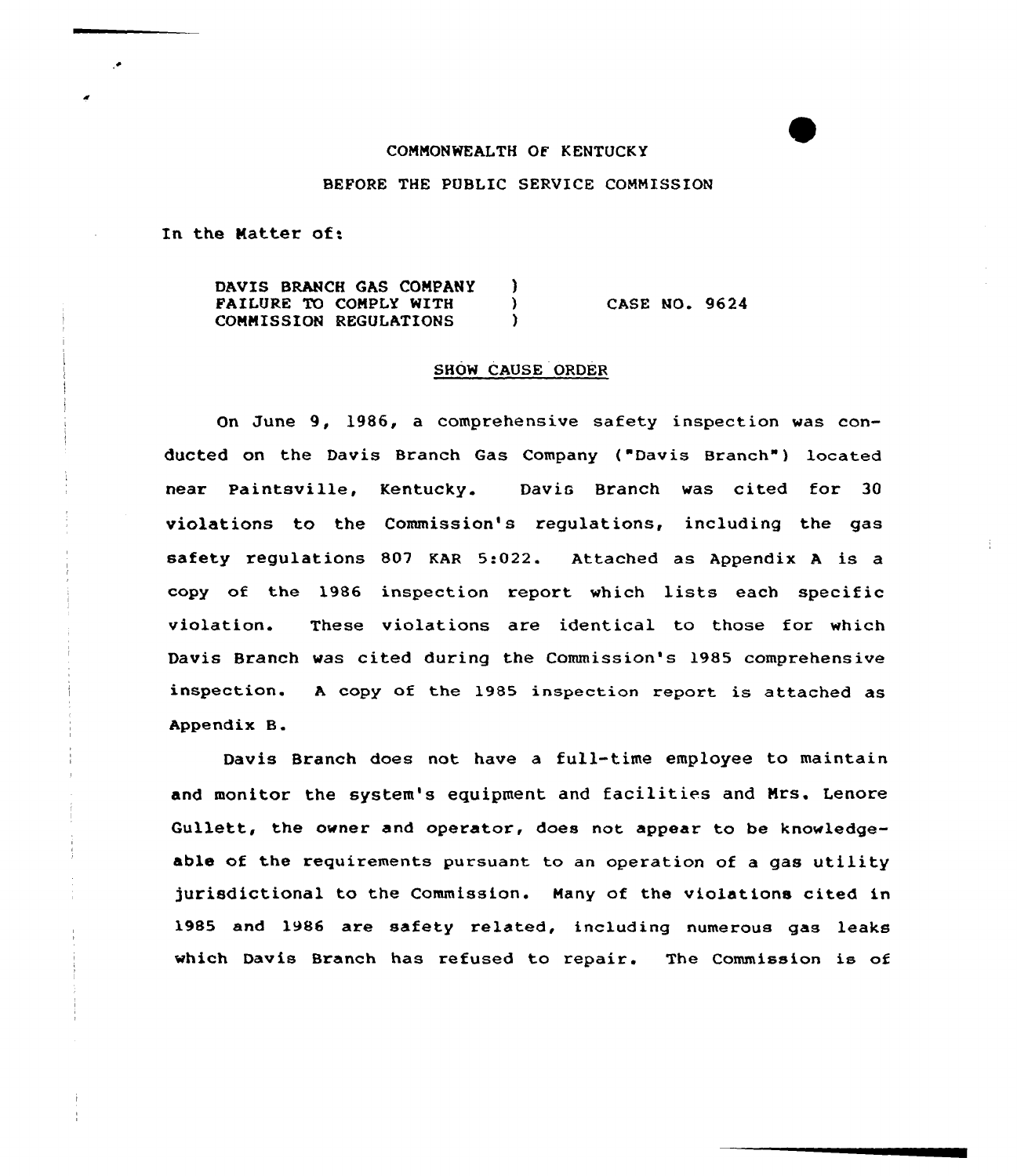#### CONNONWEALTH OF KENTUCKY

#### BEFORE THE PUBLIC SERVICE CONNISSION

In the Natter of:

DAVIS BRANCH GAS COMPANY )<br>PATLURE TO COMPLY WITH FAILURE TO COMPLY WITH CONNISSION REGULATIONS ) CASE NO. 9624

#### SHOW CAUSE ORDER

On June 9, 1986, a comprehensive safety inspection was conducted on the Davis Branch Gas Company ("Davis Branch" ) located near Paintsville, Kentucky. Davis Branch was cited for 30 violations to the Commission's regulations, including the gas safety regulations 807 KAR 5:022. Attached as Appendix <sup>A</sup> is a copy of the 1986 inspection report which lists each specific violation. These violations are identical to those for which Davis Branch was cited during the Commission's 1985 comprehensive inspection. <sup>A</sup> copy of the 1985 inspection report is attached as Appendix B.

Davis Branch does not have a full-time employee to maintain and monitor the system's equipment and facilities and Mrs. Lenore Gullett, the owner and operator, does not appear to be knowledgeable of the requirements pursuant to an operation of <sup>a</sup> gas utility jurisdictional to the Commission. Hany of the violations cited in 1985 and 1986 are safety related, including numerous gas leaks which Davis Branch has refused to repair. The Commission is of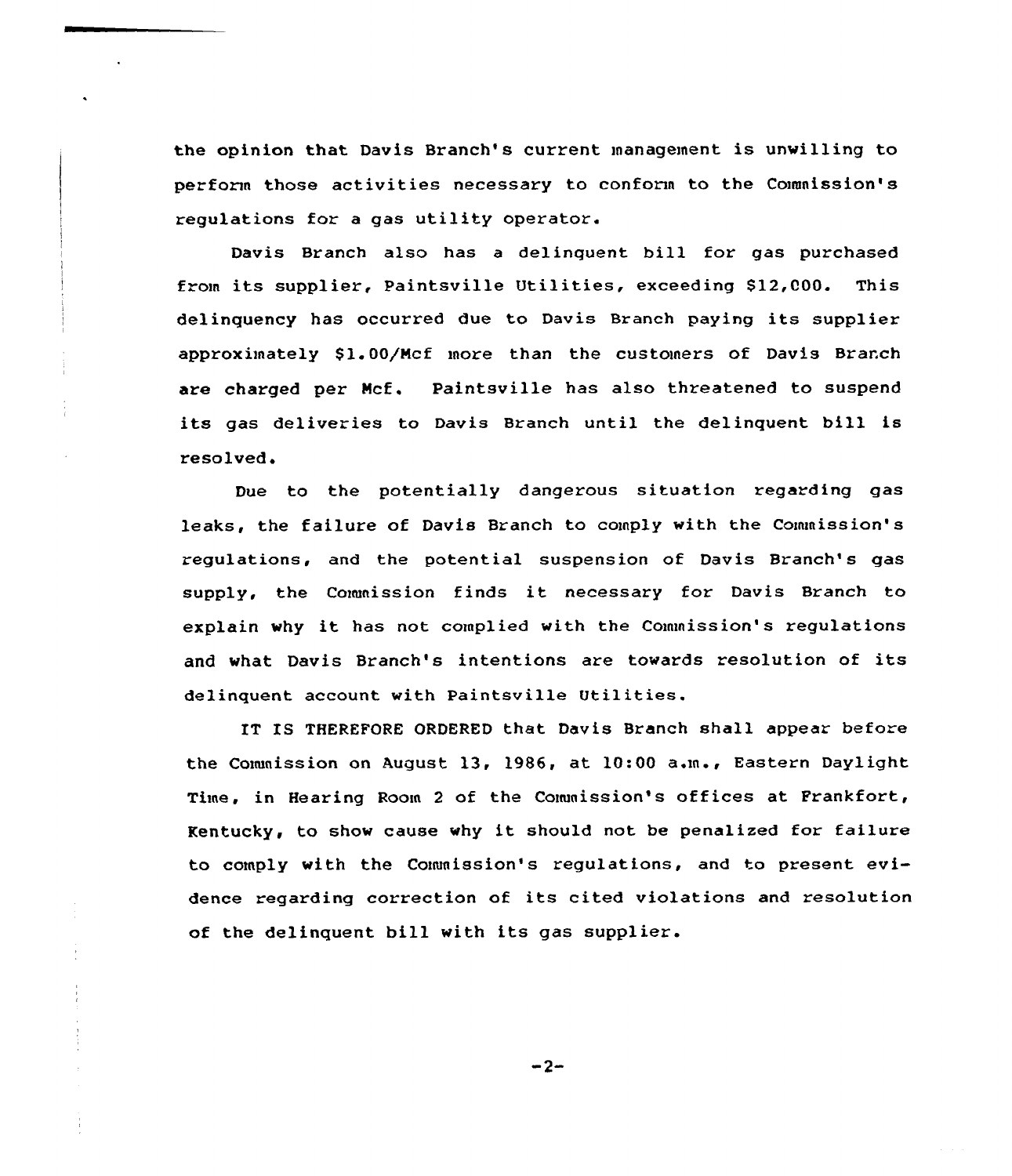the opinion that Davis Branch's current management is unwilling to perform those activities necessary to conform to the Commission's regulations for a gas utility operator.

Davis Branch also has <sup>a</sup> delinquent bill for gas purchased from its supplier, Paintsville Utilities, exceeding \$12,000. This delinquency has occurred due to Davis Branch paying its supplier approximately 81.00/Ncf moze than the customers of Davis Branch are charged pez Ncf. Paintsville has also threatened to suspend its gas deliveries to Davis Branch until the delinquent bill is resolved,

Due to the potentially dangerous situation regarding gas leaks, the failure of Davis Branch to comply with the Commission's regulations, and the potential suspension of Davis Branch's gas supply, the Commission finds it necessazy for Davis Branch to explain why it has not complied with the Commission's regulations and what Davis Branch's intentions are towards resolution of its delinquent account with Paintsville Utilities.

IT IS THEREFORE ORDERED that Davis Branch shall appear before the Commission on August 13, 1986, at 10:00 a.m., Eastern Daylight Time, in Hearing Room <sup>2</sup> of the Commission's offices at Frankfort, Kentucky, to show cause why it should not be penalized for failure to comply with the Commission's regulations, and to present evidence regarding correction of its cited violations and resolution of the delinquent bill with its gas supplier.

 $-2-$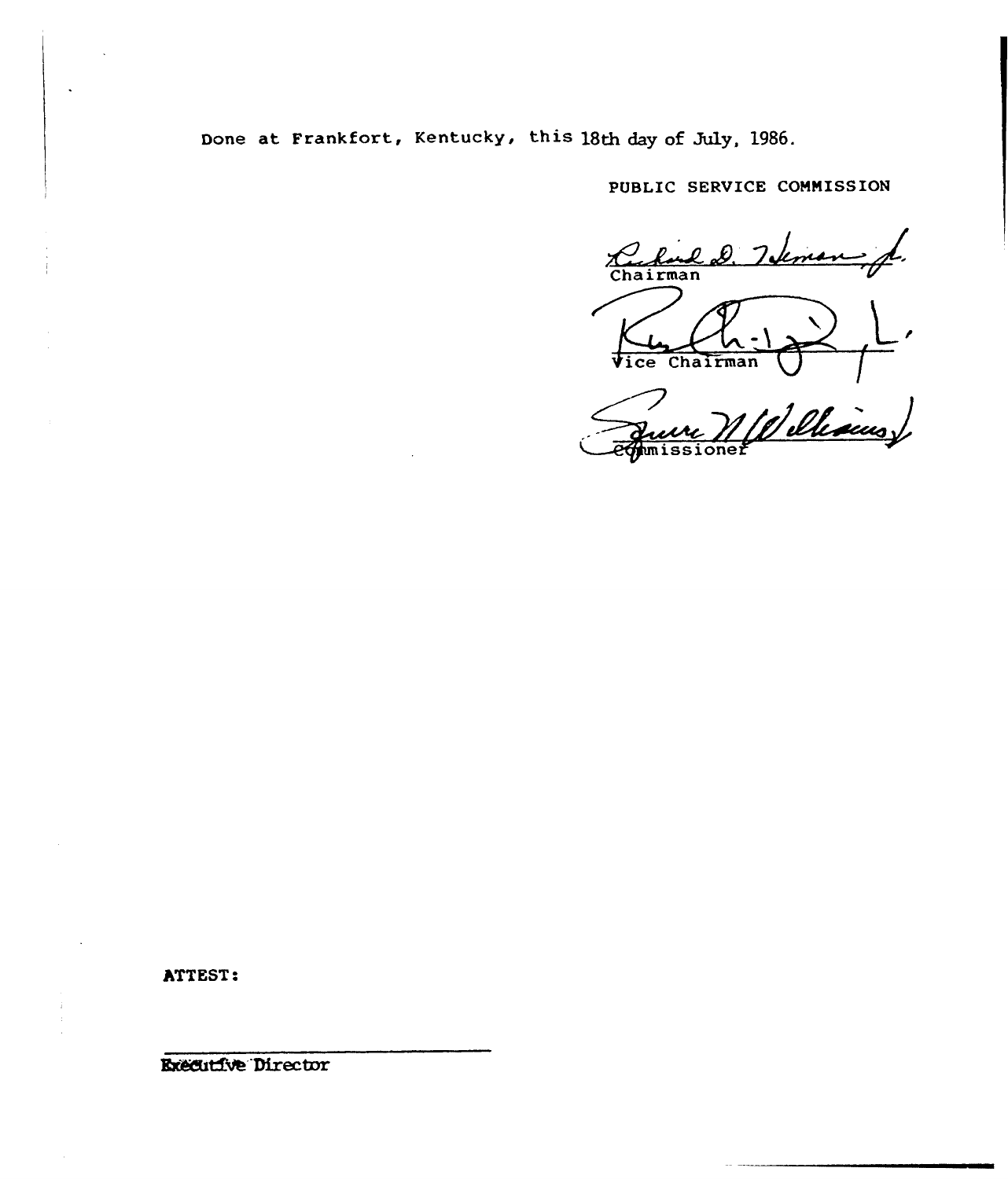Done at Frankfort, Kentucky, this 18th day of July, 1986.

PUBLIC SERVICE COMNISSION

Chairman l ce Chairman

 $\mathcal{Z}_{\text{max}}^{\text{rel}}$ 

ATTEST:

**Executive Director**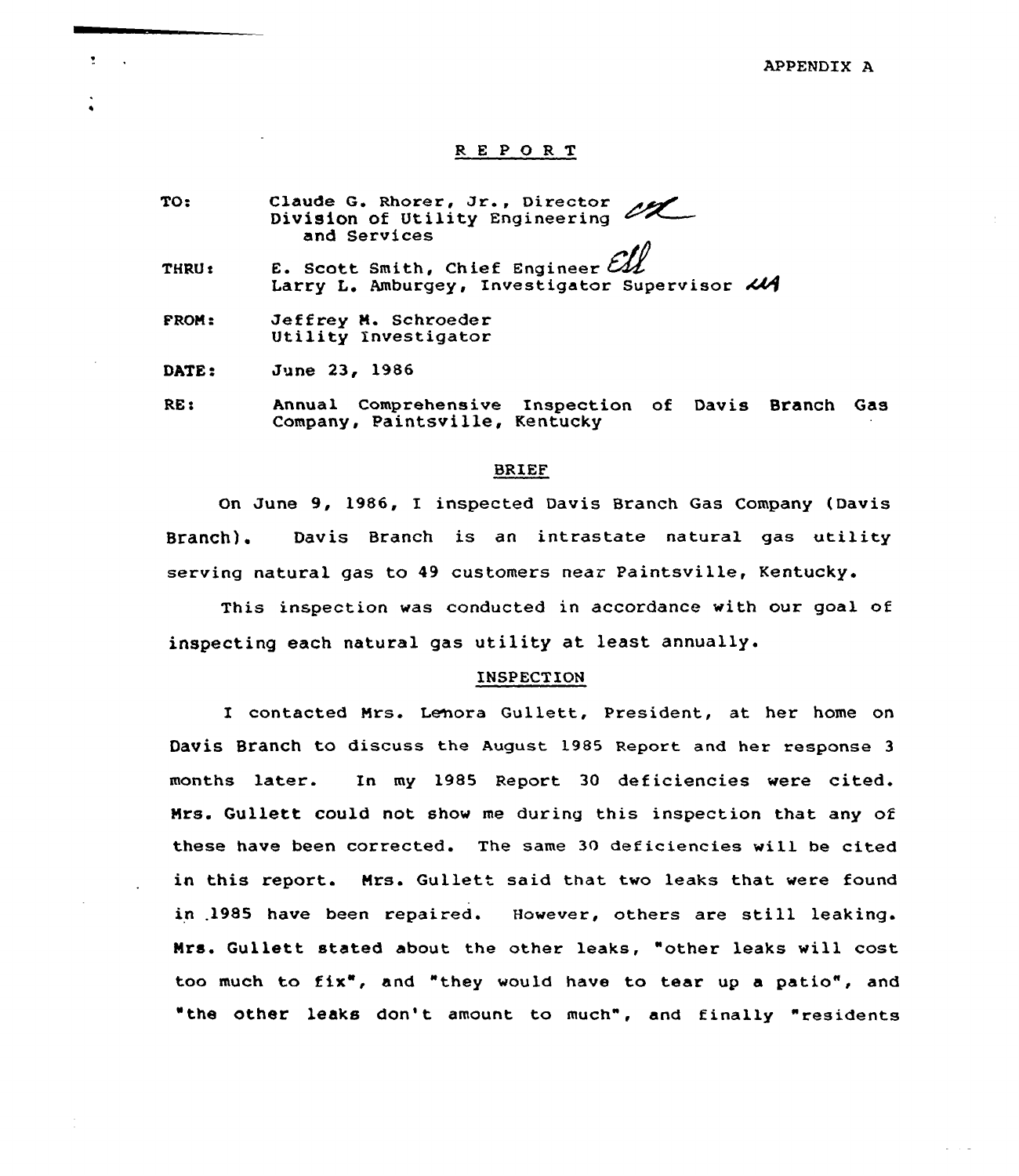#### REPORT

- TO: entity<br>Claude G. Rhorer, Jr., Director Division of Utility Engineering and Services
- THRU e E. Scott Smith, Chief Engineer Larry L. Amburgey, Investigator Supervisor 214
- FROM: Jeffrey M. Schroeder Utility Investigator

DATE: June 23, 1986

 $\overline{\mathbf{r}}$  $\sim 10$ 

> RE: Annual Comprehensive Inspection of Davis Branch Gas Company, Paintsville, Kentucky

#### BRIEF

On June 9, 1986, I inspected Davis Branch Gas Company (Davis Branch). Davis Branch is an intrastate natural gas utility serving natural gas to 49 customers near Paintsville, Kentucky.

This inspection was conducted in accordance with our goal of inspecting each natural gas utility at least annually.

#### INSPECTION

I contacted Nrs. Lehora Gullett, President, at her home on Davis Branch to discuss the August 1985 Report and her response <sup>3</sup> months later. In my 1985 Report 30 deficiencies were cited. Nrs. Gullett could not show me during this inspection that any of these have been corrected. The same 30 deficiencies will be cited in this report. Mrs. Gullett said that two leaks that were found in .1985 have been repaired. However, others are still leaking. Nrs. Gullett stated about the other leaks, "other leaks vill cost too much to fix", and "they would have to tear up <sup>a</sup> patio", and "the other leaks don't amount to much", and finally "residents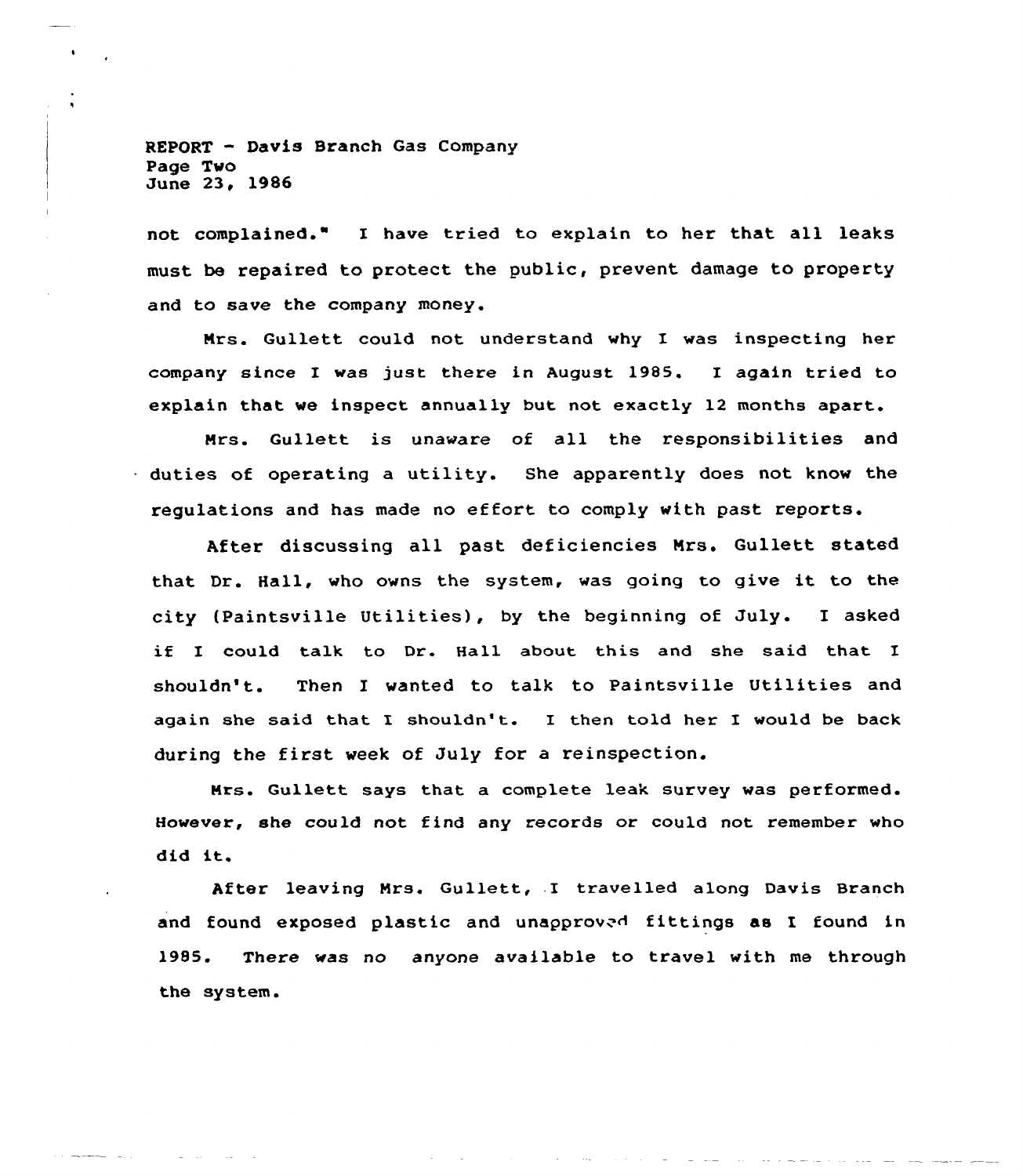REPORT — Davis Branch Gas Company Page Two June 23, 1986

not complained." I have tried to explain to her that all leaks must be repaired to protect the public, prevent damage to property and to save the company money.

Mrs. Gullett could not understand why I was inspecting her company since I was just there in August 1985. I again tried to explain that we inspect annually but not exactly 12 months apart.

Mrs. Gullett is unaware of all the responsibilities and duties of operating a utility. She apparently does not know the regulations and has made no effort to comply with past reports.

After discussing all past deficiencies Nrs. Gullett stated that Dr. Hall, who owns the system, was going to give it to the city (Paintsville Utilities), by the beginning of July. I asked if I could talk to Dr. Hall about this and she said that I shouldn'. Then I wanted to talk to Paintsville Utilities and again she said that I shouldn't. I then told her I would be back during the first week of July for <sup>a</sup> reinspection.

Mrs. Gullett says that a complete leak survey was performed. However, she could not find any records or could not remember who did it.

After leaving Mrs. Gullett, I travelled along Davis Branch and found exposed plastic and unapproved fittings as I found in 1985. There was no anyone available to travel with me through the system.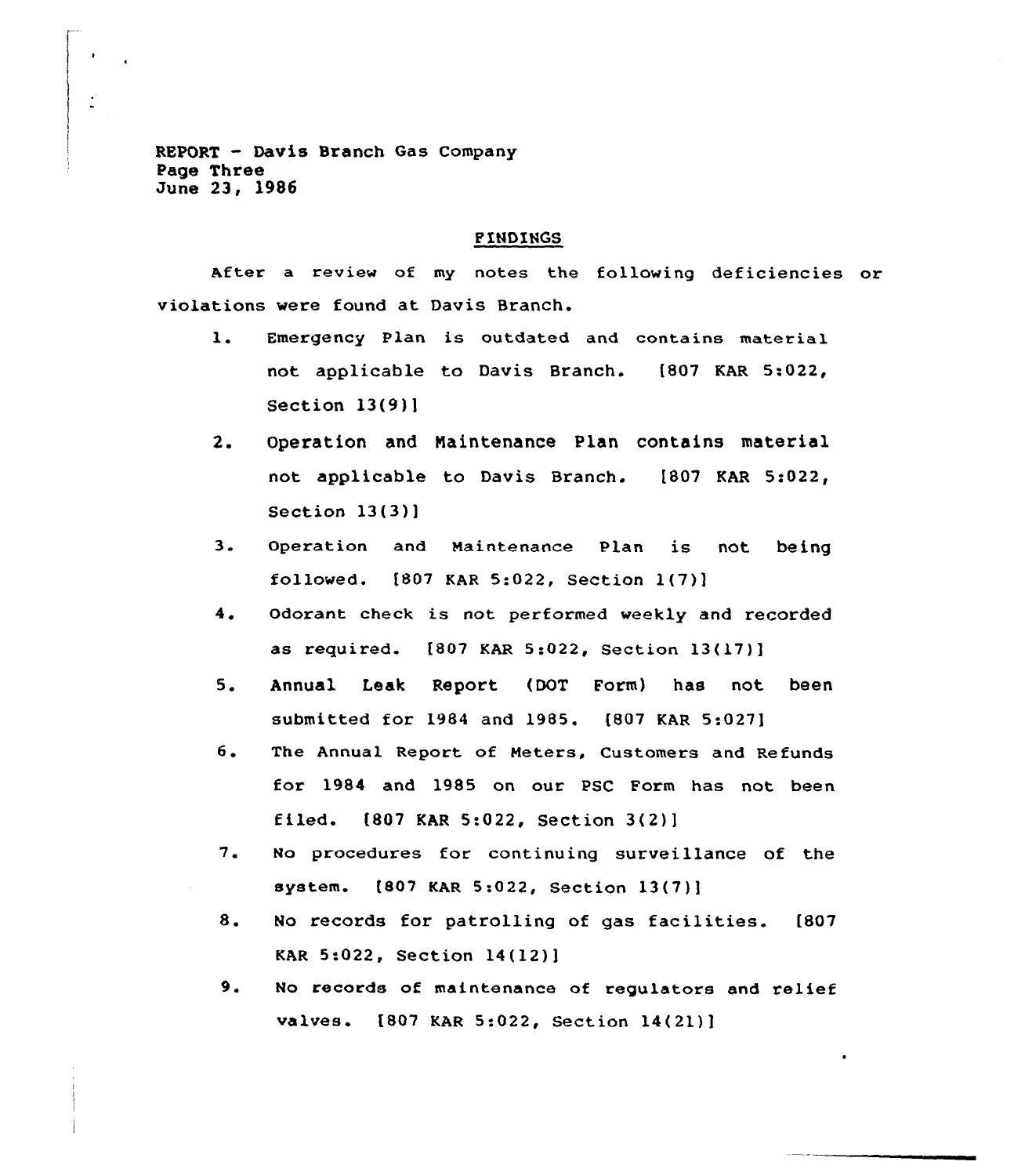REPORT - Davis Branch Gas Company Page Three June 23, 1986

# F!ND!NGS

After a review of my notes the following deficiencies or violations were found at Davis Branch.

- Emergency Plan is outdated and contains material  $\mathbf{1}$ . not applicable to Davis Branch. [807 KAR 5:022, Section 13(9)]
- $2.$ Operation and Naintenance Plan contains material not applicable to Davis Branch. [807 KAR 5:022, Section 13(3)]
- $3.$ Operation and Maintenance Plan is not being followed. [807 KAR 5:022, Section l(7)]
- $4.$ Odorant check is not performed weekly and recorded as required. [807 KAR 5:022, Section 13(17)]
- $5.$ Annual Leak Report (DOT Form) has not been submitted for 1984 and 1985. [807 KAR 5:027]
- 6. The Annual Report of Meters, Customers and Refunds for 1984 and 1985 on our PSC Form has not been filed.  $[807 \text{ KAR } 5:022$ , Section  $3(2)$ ]
- 7. No procedures for continuing surveillance of the system. [807 KAR 5:022, Section 13(7)]
- 8. No records for patrolling of gas facilities. [807 KAR 5:022, Section 14(12)]
- 9. No records of maintenance of regulators and relief valves. [807 KAR 5:022, Section 14(21)]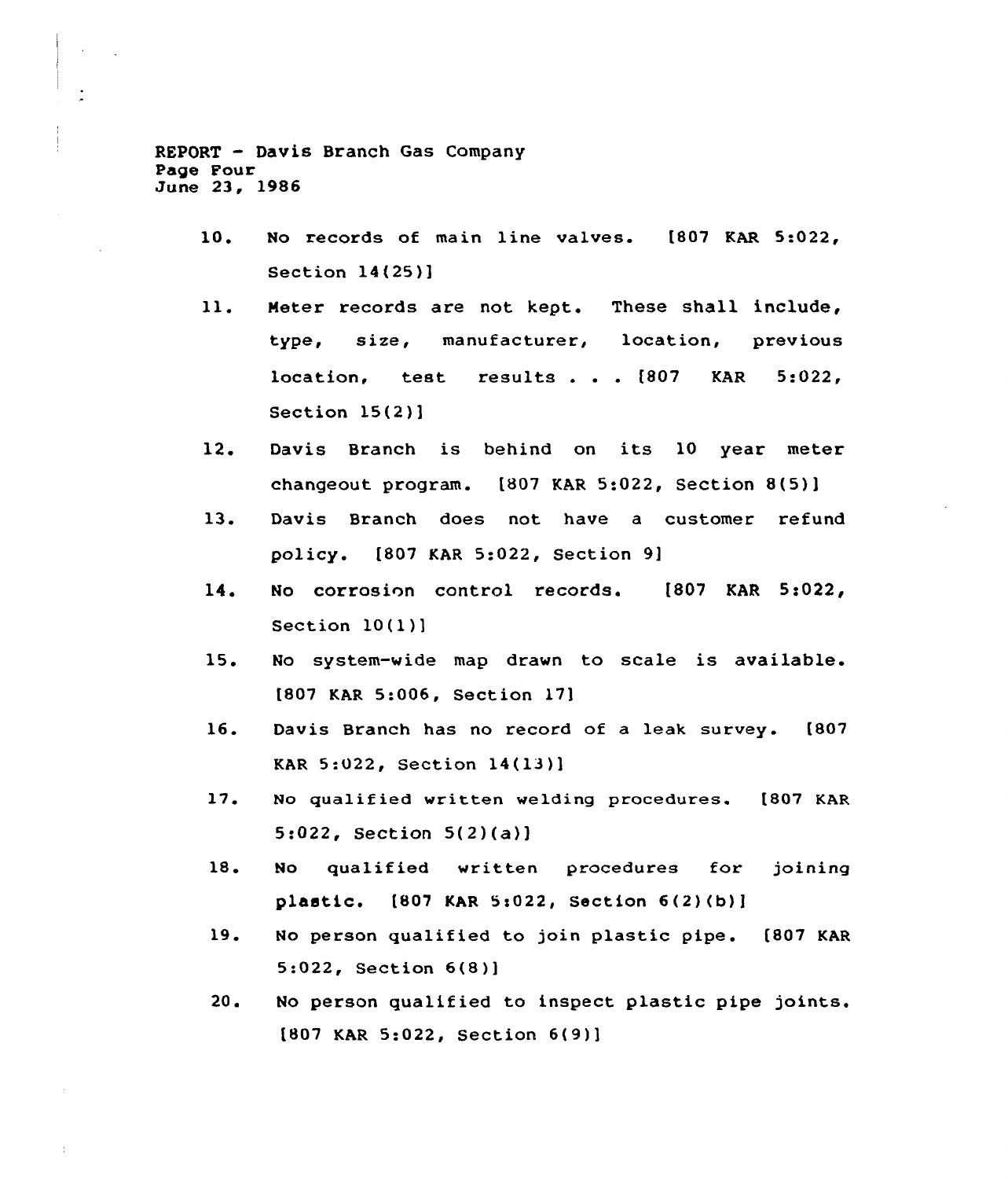REPORT — Davis Branch Gas Company Page Four June 23, 1986

 $\frac{1}{2}$ 

- 10. No records of main line valves. [807 KAR 5:022, Section 14(25)]
- $11.$ Heter records are not kept. These shall include, type, size, manufacturer, location, previous location, test results . . .  $[807 \quad KAR \quad 5:022$ , Section 15(2)]
- 12. Davis Branch is behind on its 10 year meter changeout program.  $[807 \text{ KAR } 5:022$ , Section 8(5)]
- 13. Davis Branch does not have <sup>a</sup> customer refund policy. [807 KAR 5:022, Section 9]
- 14. No corrosion control records. [807 KAR 5:022, Section 10(1)]
- 15 No system-wide map drawn to scale is available. [807 KAR 5:006, Section 17]
- 16. Davis Branch has no record of a leak survey. [807 KAR 5:022, Section 14(13)]
- l7. No qualified written welding procedures. [807 KAR  $5:022$ , Section  $5(2)(a)$ ]
- 18. No qualified written procedures for joining plastic.  $[807$  KAR 5:022, Section  $6(2)(b)$ ]
- 19. No person qualified to join plastic pipe. [807 KAR 5:022, Section 6(8)]
- 20. No person qualified to inspect plastic pipe joints. t807 KAR 5:022, Section 6(9)]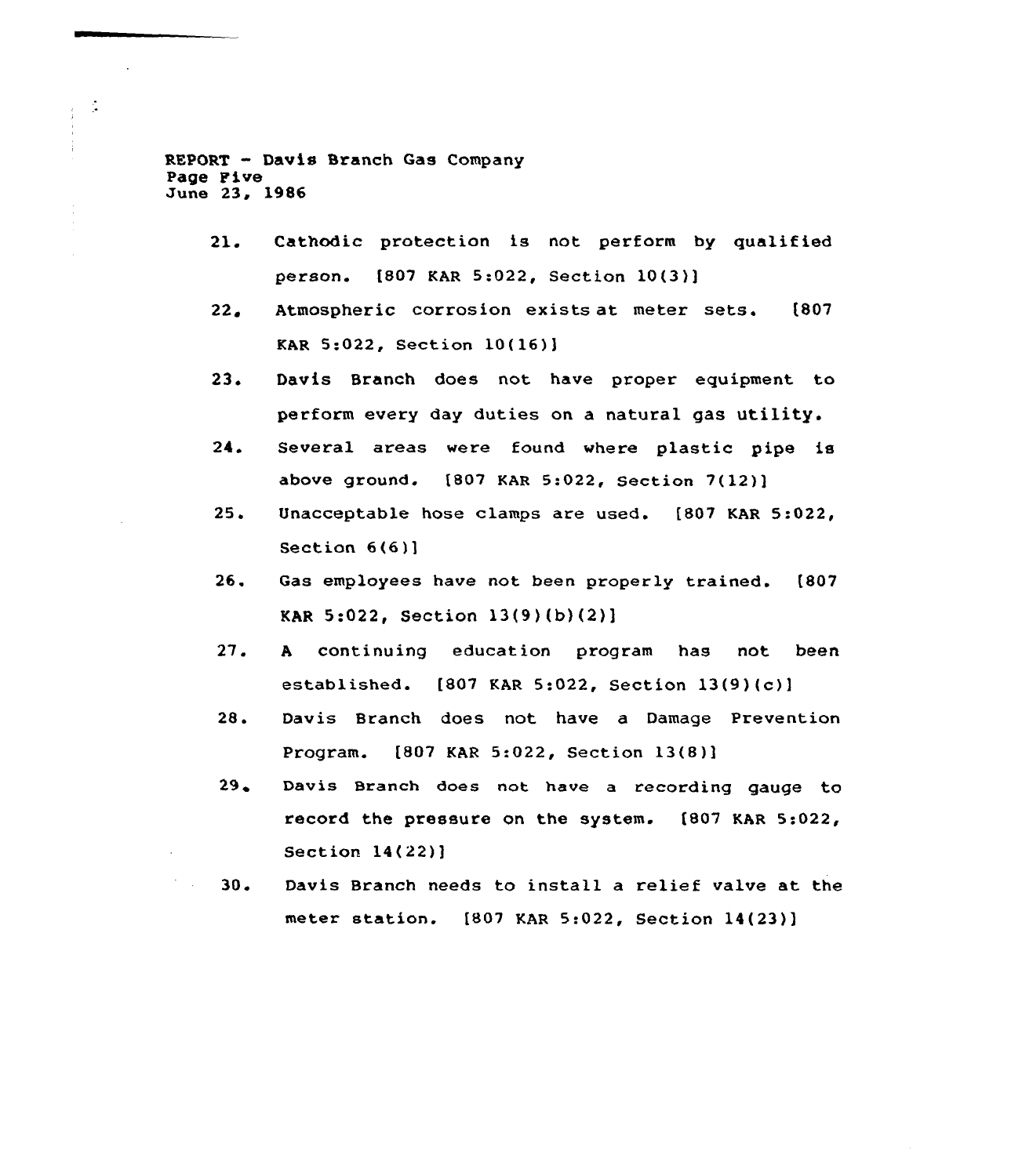REPORT — Davis Branch Gas Company Page Five June 23, 1986

 $\mathcal{L}_{\mathcal{A}}$  $\frac{1}{3}$  $\frac{1}{4}$ Ĵ.

- 21. Cathodic protection is not perform by qualified pexson. [807 KAR 5:022, Section 10(3}]
- $22.$ Atmospheric corrosion exists at meter sets. [807 KAR 5:022, Section 10(16)]
- 23. Davis Branch does not have proper equipment to perform every day duties on a natural gas utility.
- 24 Several areas were found where plastic pipe is above ground. [807 KAR 5:022, Section 7(12)]
- $25.$ Unacceptable hose clamps are used. [807 KAR 5:022, Section 6(6)]
- $26.$ Gas employees have not been properly trained. [807 KAR 5:022, Section 13(9)(b)(2)]
- 27. <sup>A</sup> continuing education program has not been established. [807 KAR 5:022, Section 13(9)(c)]
- 28. Davis Branch does not have a Damage Prevention Program. [807 KAR 5:022, Section 13(8)]
- $29.$ Davis Branch does not have a recording gauge to record the pressure on the system. [807 KAR 5:022, Section 14(22)]
- 30 <sup>~</sup> Davis Branch needs to install a relief valve at the meter station. [807 KAR 5:022, Section 14(23)]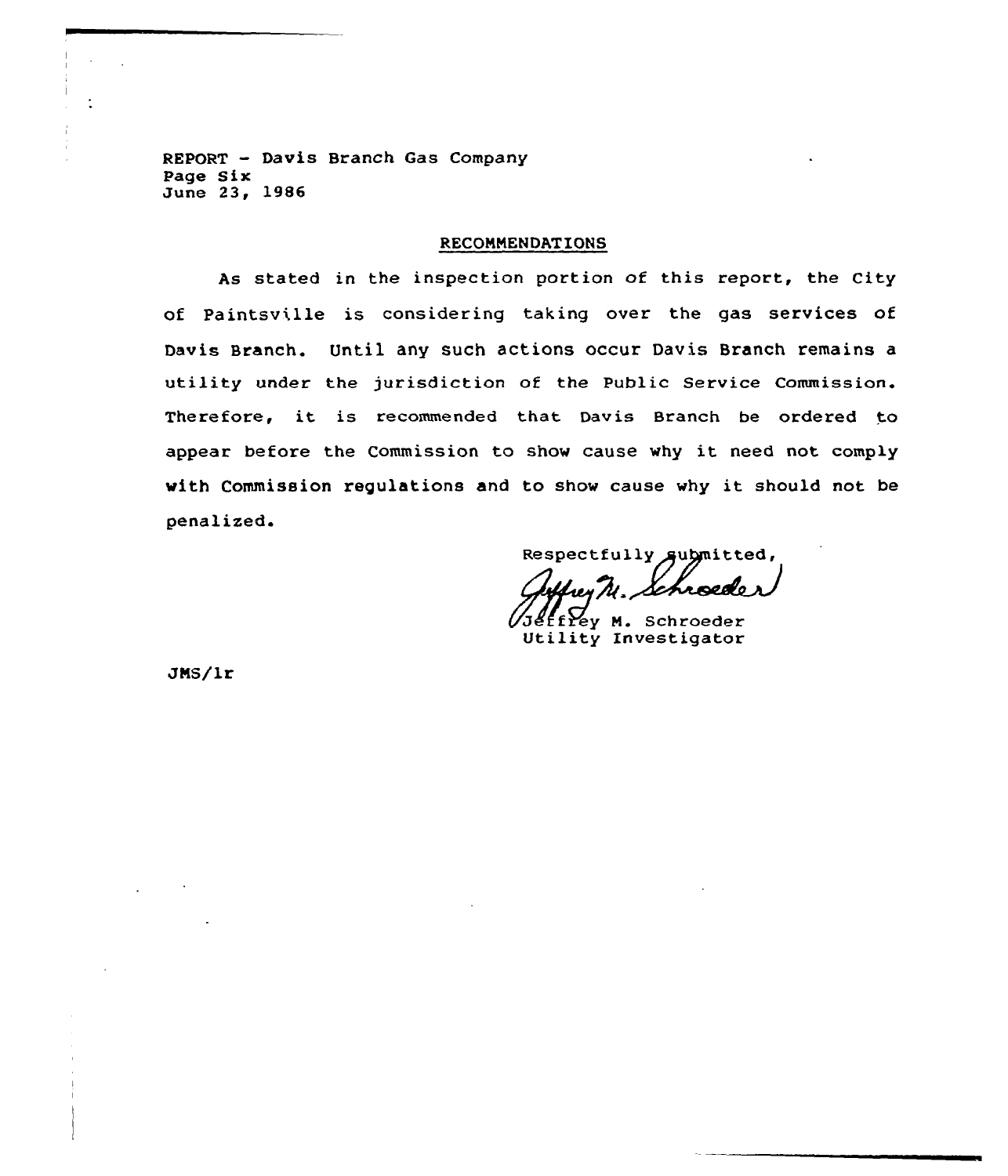REPORT — Davis Branch Gas Company Page Sir June 23, 1986

#### **RECOMMENDATIONS**

As stated in the inspection portion of this report, the City of Paintsville is considering taking over the gas services of Davis Branch. Until any such actions occur Davis Branch remains a utility under the jurisdiction of the Public Service Commission. Therefore, it is recommended that Davis Branch be ordered to appear before the Commission to show cause why it need not comply with Commission regulations and to show cause why it should not be penalized.

Respectfully submitted,

ffrey M. Schroeder Utility Znvestigator

JMS/lr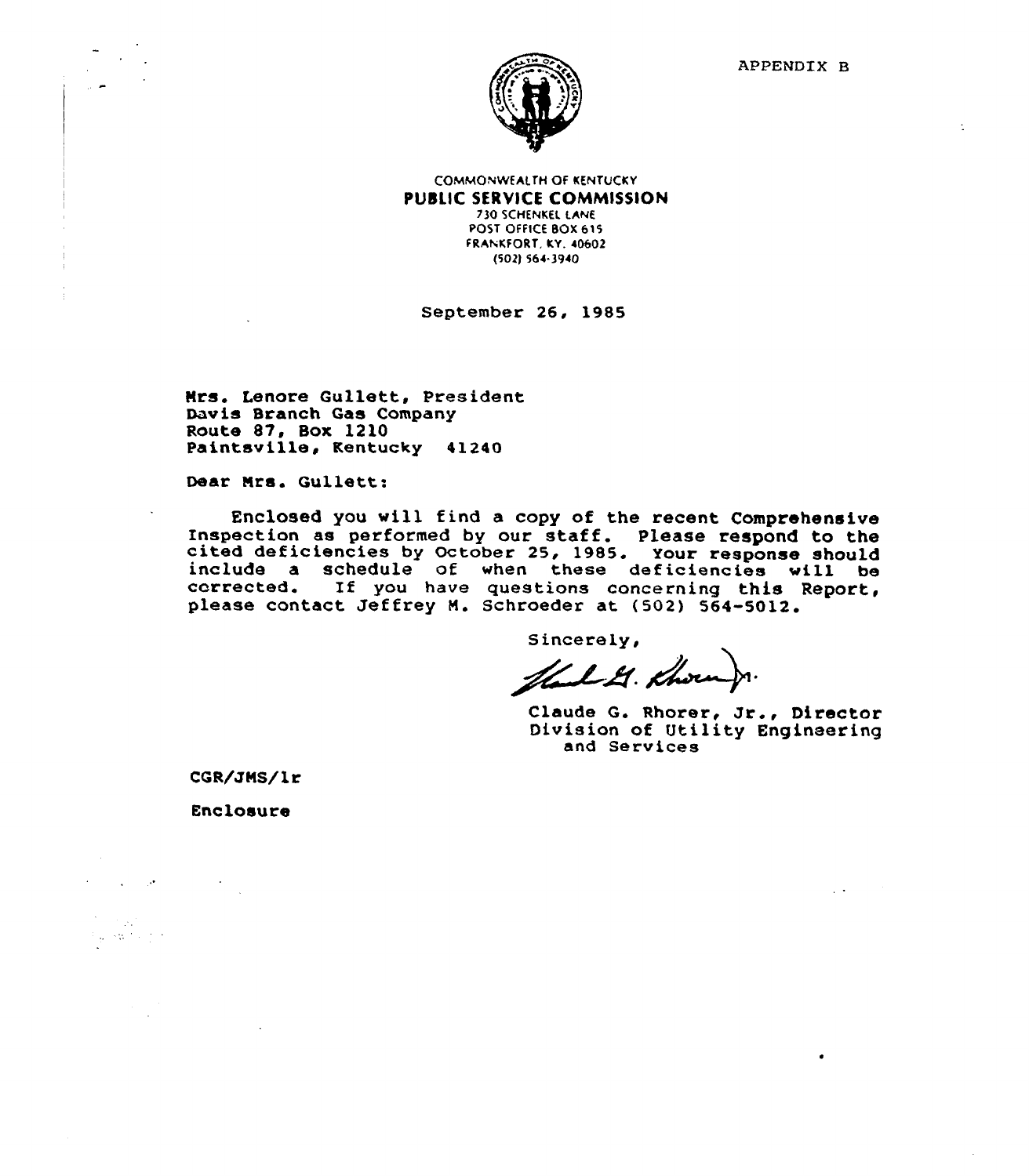

COMMONWEAI.TH Of KENTUCKY PUBLIC SERVICE COMMISSION **730 SCHENKEL LANE** POST OFFICE BOX 615

FRAhKFORT, KY. 40602 (502) 564.3940

September 26, 1985

Nrs. Lenore Gullett, President Davis Branch Gas Company<br>Route 87, Box 1210 Paintsville, Kentucky 41240

Dear Nrs. Gullett:

Enclosed you will find a copy of the recent Comprehensive Inspection as performed by our staff. Please respond to the<br>cited deficiencies by October 25, 1985. Your response should<br>include a schedule of when these deficiencies will be<br>corrected. If you have questions concerning thi

Sincerely,

Harl G. Khorn

Claude G. Rhorer, Jr., Director Division of Utility Engineering and Services

 $\sim 10$ 

CQR/JNS/lr

Enclosure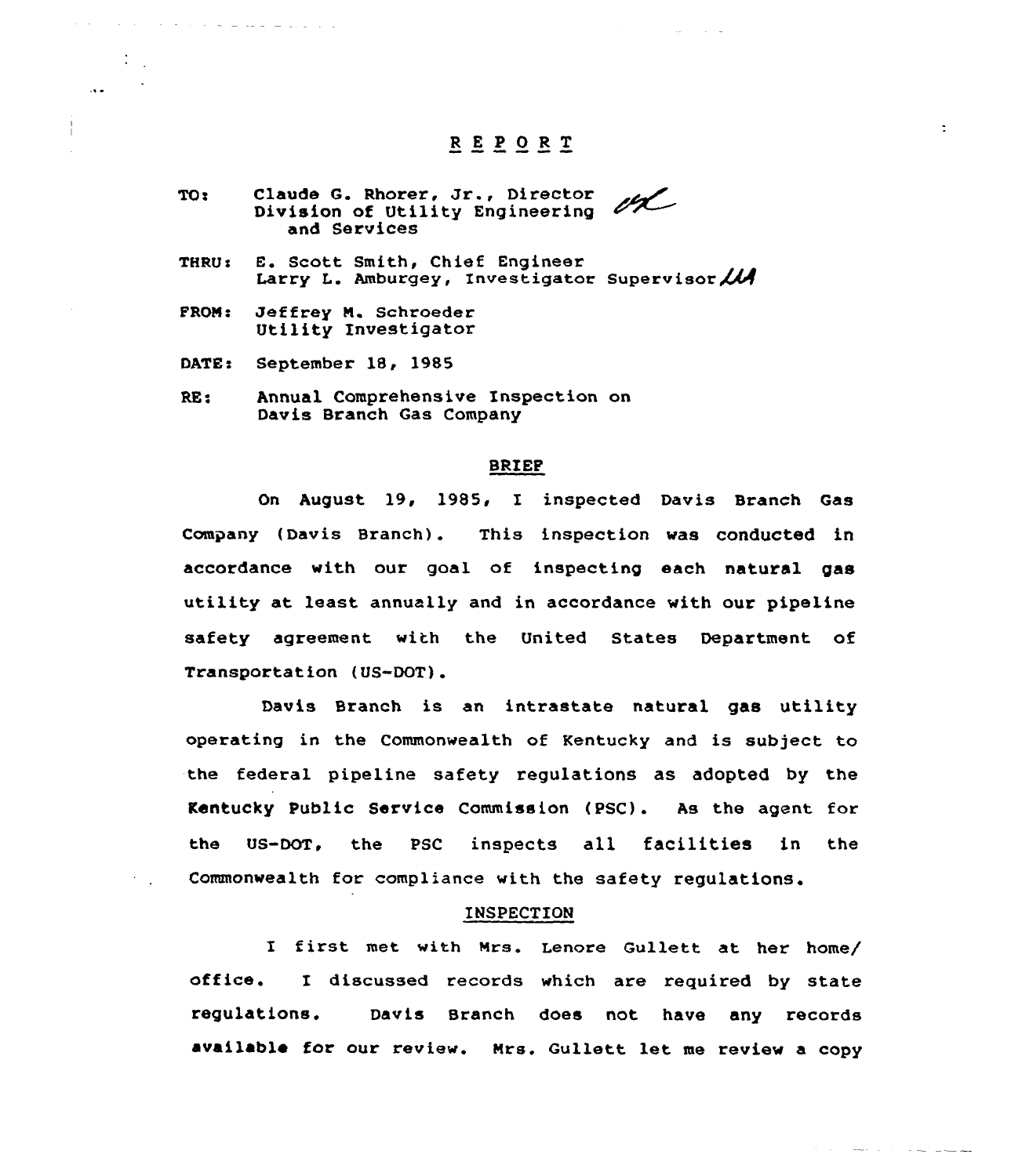# REPORT

 $\ddot{ }$ 

فتتحصص المتاريخ والمحاملين والمتحدث

- ectaude G. Rhorer, Jr., Director TO: Division of Utility Engineering and Services
- THRU e E. Scott Smith, Chief Engineer Larry L. Amburgey, Investigator Supervisor  $\mathcal{U}$
- PRON c Jeffrey N. Schroeder Utility Investigator
- DATE: September 18, 1985

 $\mathcal{A}$  . As a set of the set of the set of the set of the set of the set of the set of the  $\mathcal{A}$ 

 $\ddotsc$ 

 $\mathbf{I}$ 

RE: Annual Comprehensive Inspection on Davis Branch Gas Company

### BRIEF

On August 19, 1985< I inspected Davis Branch Gas Company {Davis Branch). This inspection was conducted in accordance with our goal of inspecting each natural gas utility at least annually and in accordance with our pipeline safety agreement. with the United States Department of Transportation {US-DOT).

Davis Branch is an intrastate natural gas utility operating in the Commonwealth of Kentucky and is subject to the federal pipeline safety regulations as adopted by the Kentucky Public Service Commission {PSC). As the agent for the US-DOT, the PSC inspects all facilities in the Commonwealth for compliance with the safety regulations.

#### INSPECTION

I first met with Nrs. Lenore Gullett at her home/ office. I discussed records which are required by state regulations. Davis Branch does not have any records availablo for our review. Nrs. Gullett let me review a copy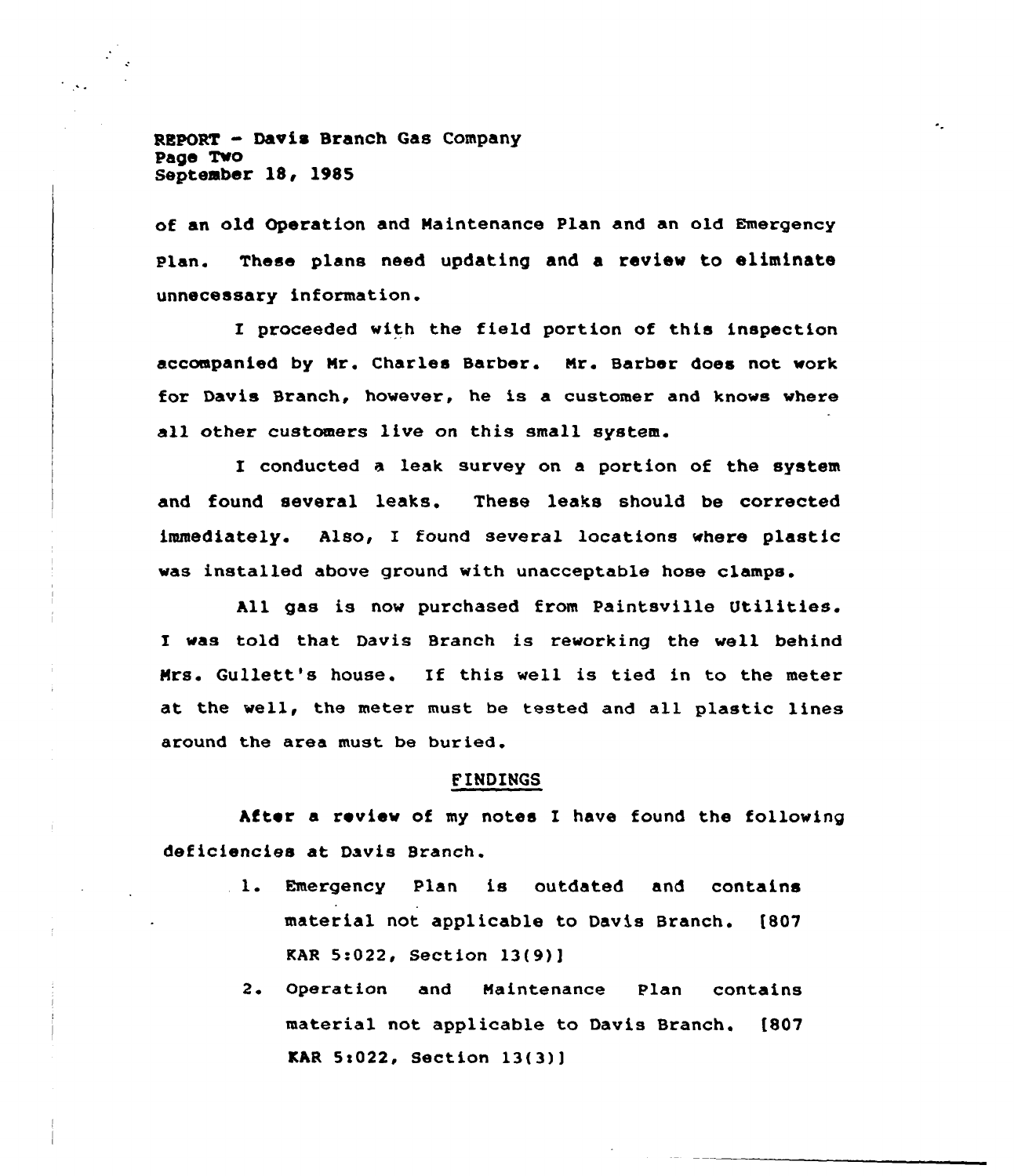REPORT - Davis Branch Gas Company Page Two September 18, 1985

of an old Operation and Maintenance Plan and an old Emergency Plan. These plans need updating and a review to eliminate unnecessary information.

I proceeded with the field portion of this inspection accompanied by Mr. Charles Barber. Mr. Barber does not work for Davis Branch, however, he is a customer and knows where all other customers live on this small system.

I conducted a leak survey on a portion of the system and found several leaks. These leaks should be corrected immediately. Also, I found several locations where plastic was installed above ground with unacceptable hose clamps.

gas is now purchased from Paintsville Utilities. I was told that Davis Branch is reworking the well behind Mrs. Gullett's house. If this well is tied in to the meter at the well, the meter must be tested and all plastic lines around the area must be buried.

# FINDINGS

After a review of my notes I have found the following deficiencies at Davis Branch.

- l. Emergency Plan is outdated and contains material not applicable to Davis Branch. [807 KAR 5:022, Section 13(9)]
	- 2. Operation and Maintenance Plan contains material not applicable to Davis Branch. (807  $KAR 5:022$ , Section  $13(3)$ ]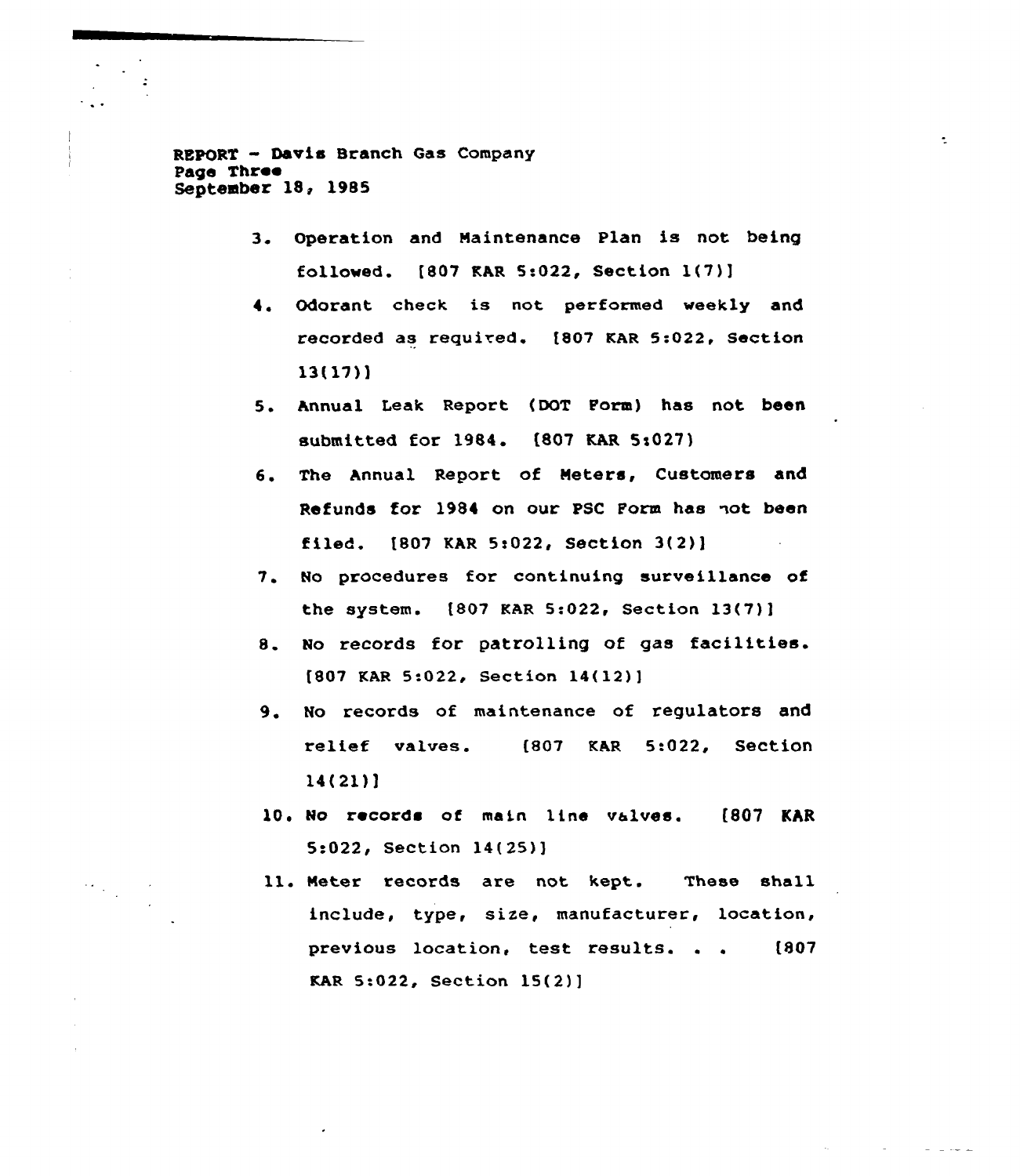REPORT - Davis Branch Gas Company Page Three September 18, 1985

> 3. Operation and Maintenance Plan is not being fallowed. f807 KAR 5:022, Section l(7))

 $\mathbb{Z}^+$ 

- Odorant check is not performed weekly and recorded as required. (807 KAR 5:022, Sectian 13(17)]
- 5. Annual Leak Report (DOT Form) has not been submitted for 1984. (807 KAR 5:027)
- 6. The Annual Report of Meters, Customers and Refunds for 1984 on our PSC Form has not been filed. [807 KAR 5t022, Section 3(2)]
- 7. No procedures for continuing surveillance of the system. (807 KAR 5:022, Section 13(7)]
- 8. No records for patrolling of gas facilities.  $[807$  KAR 5:022, Section 14(12)]
- 9. No records of maintenance of regulators and relief valves. (807 KAR 5:022, Section 14(21)]
- 10. No records af main line valves. (807 KAR 5:022, Sectian 14(25))
- ll. Meter records are not kept. These shall include, type, size, manufacturer, location, previous location, test results. . . (807 KAR 5:022, Section 15(2)]

 $\left\langle \cdot\right\rangle_{\infty}$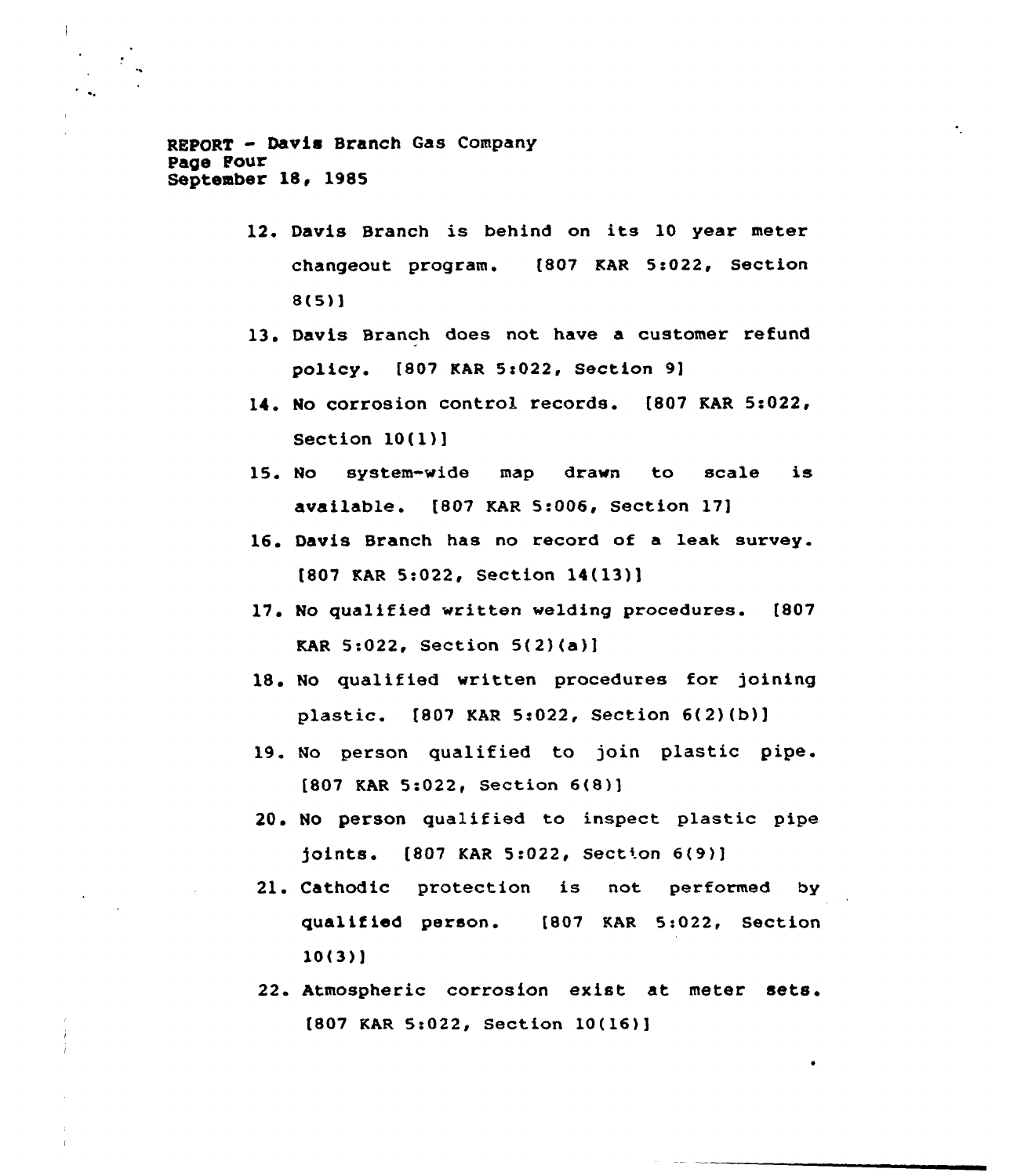REPORT - Davis Branch Gas Company Page Four September 18, 1985

- 12. Davis Branch is behind on its 10 year meter changeout program. [807 KAR 5:022, Section 8(5)]
- 13. Davis Branch does not have a customer refund policy. [807 KAR 5s022, Section 9]
- 14. No corrosion control records. [807 KAR 5:022, Section 10(l)]
- 15. No system-vide map dravn to scale is available. [807 KAR 5:006, Section 17]
- 16. Davis Branch has no record of a leak survey. [807 KAR 5s022, Section 14(13)]
- 17. No qualified vritten velding procedures. [807 KAR  $5:022$ , Section  $5(2)(a)$ ]
- 18. No qualified written procedures for joining plastic. [807 KAR 5:022, Section 6(2)(b)]
- 19. No person qualified to join plastic pipe. [807 KAR 5s022, Section 6{8)]
- 20. No person qualified to inspect plastic pipe joints. [807 KAR 5:022, Section 6(9)]
- 21. Cathodic protection is not performed by qualified person. [807 KAR 5:022, Section 10(3)]
- 22. Atmospheric corrosion exist at meter [807 KAR 5:022, Section 10(16)]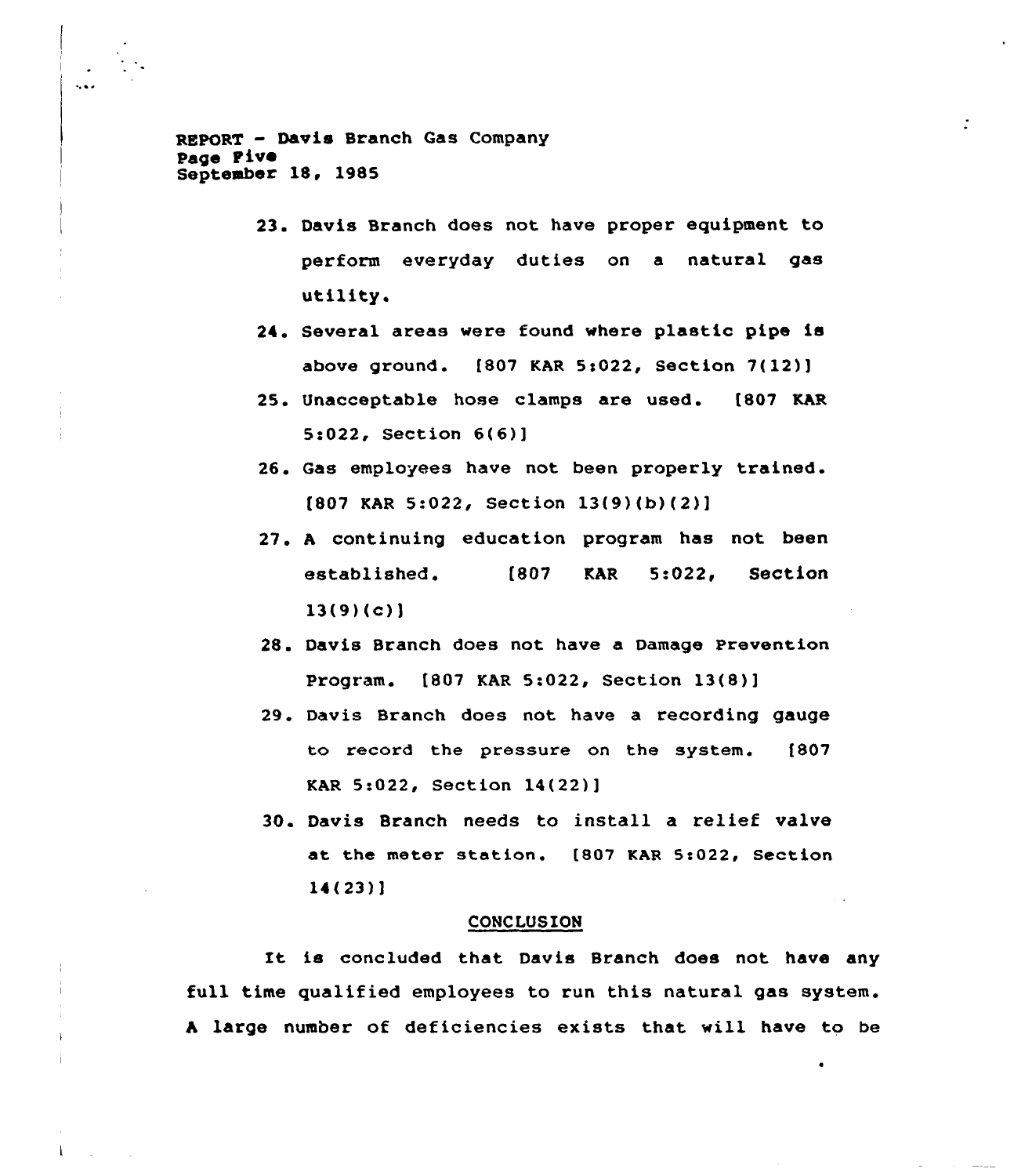REpoRT - Davis Branch Gas Company page Five September 18, 1985

- 23. Davis Branch does not have proper equipment to perform everyday duties on a natural gas utility.
- 24. Several areas were found where plastic pipe is above ground. [807 KAR 5:022, Section 7(12)]
- 25. Unacceptable hose clamps are used. [807 KAR 5e022, Section 6(6)]
- 26. Gas employees have not been properly trained. (807 KAR 5:022, Section 13(9)(b)(2)]
- 27. <sup>A</sup> continuing education program has not been established. [807 KAR 5:022, Section  $13(9)(c)$
- 28. Davis Branch does not have a Damage Prevention Program. f807 KAR 5:022, Section 13(8)]
- 29. Davis Branch does not have a recording gauge to record the pressure on the system. (807 KAR 5:022, Section 14(22)]
- 30. Davis Branch needs to install a relief valve at the meter station. [807 KAR 5:022, Section 14(23)]

#### CONCLUSION

It is concluded that Davis Branch does not have any full time qualified employees to run this natural gas system. <sup>A</sup> large number of deficiencies exists that will have to be